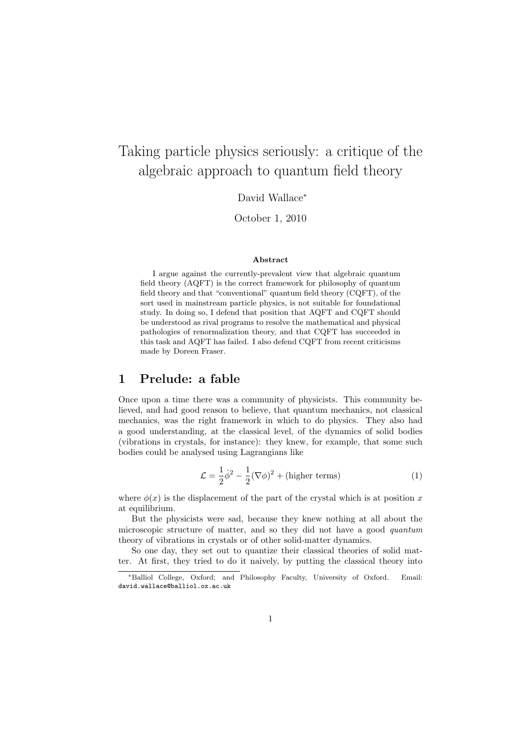# Taking particle physics seriously: a critique of the algebraic approach to quantum field theory

David Wallace<sup>∗</sup>

October 1, 2010

#### Abstract

I argue against the currently-prevalent view that algebraic quantum field theory (AQFT) is the correct framework for philosophy of quantum field theory and that "conventional" quantum field theory (CQFT), of the sort used in mainstream particle physics, is not suitable for foundational study. In doing so, I defend that position that AQFT and CQFT should be understood as rival programs to resolve the mathematical and physical pathologies of renormalization theory, and that CQFT has succeeded in this task and AQFT has failed. I also defend CQFT from recent criticisms made by Doreen Fraser.

#### 1 Prelude: a fable

Once upon a time there was a community of physicists. This community believed, and had good reason to believe, that quantum mechanics, not classical mechanics, was the right framework in which to do physics. They also had a good understanding, at the classical level, of the dynamics of solid bodies (vibrations in crystals, for instance): they knew, for example, that some such bodies could be analysed using Lagrangians like

$$
\mathcal{L} = \frac{1}{2}\dot{\phi}^2 - \frac{1}{2}(\nabla\phi)^2 + \text{(higher terms)}\tag{1}
$$

where  $\phi(x)$  is the displacement of the part of the crystal which is at position x at equilibrium.

But the physicists were sad, because they knew nothing at all about the microscopic structure of matter, and so they did not have a good quantum theory of vibrations in crystals or of other solid-matter dynamics.

So one day, they set out to quantize their classical theories of solid matter. At first, they tried to do it naively, by putting the classical theory into

<sup>∗</sup>Balliol College, Oxford; and Philosophy Faculty, University of Oxford. Email: david.wallace@balliol.ox.ac.uk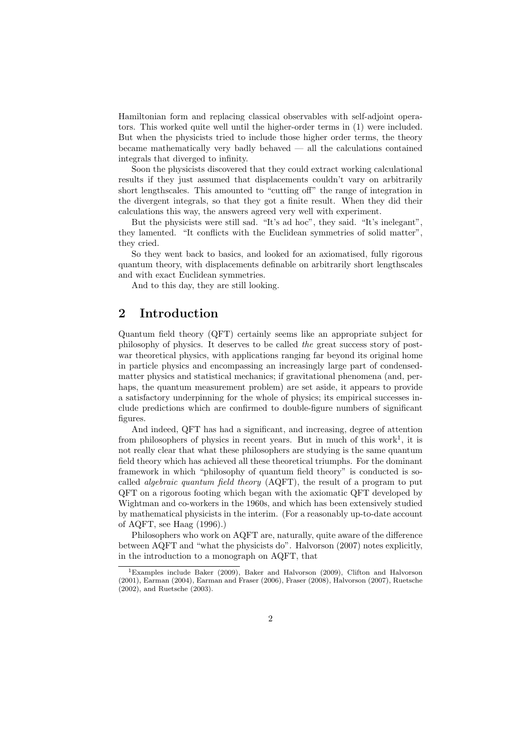Hamiltonian form and replacing classical observables with self-adjoint operators. This worked quite well until the higher-order terms in (1) were included. But when the physicists tried to include those higher order terms, the theory became mathematically very badly behaved — all the calculations contained integrals that diverged to infinity.

Soon the physicists discovered that they could extract working calculational results if they just assumed that displacements couldn't vary on arbitrarily short lengthscales. This amounted to "cutting off" the range of integration in the divergent integrals, so that they got a finite result. When they did their calculations this way, the answers agreed very well with experiment.

But the physicists were still sad. "It's ad hoc", they said. "It's inelegant", they lamented. "It conflicts with the Euclidean symmetries of solid matter", they cried.

So they went back to basics, and looked for an axiomatised, fully rigorous quantum theory, with displacements definable on arbitrarily short lengthscales and with exact Euclidean symmetries.

And to this day, they are still looking.

#### 2 Introduction

Quantum field theory (QFT) certainly seems like an appropriate subject for philosophy of physics. It deserves to be called the great success story of postwar theoretical physics, with applications ranging far beyond its original home in particle physics and encompassing an increasingly large part of condensedmatter physics and statistical mechanics; if gravitational phenomena (and, perhaps, the quantum measurement problem) are set aside, it appears to provide a satisfactory underpinning for the whole of physics; its empirical successes include predictions which are confirmed to double-figure numbers of significant figures.

And indeed, QFT has had a significant, and increasing, degree of attention from philosophers of physics in recent years. But in much of this work<sup>1</sup>, it is not really clear that what these philosophers are studying is the same quantum field theory which has achieved all these theoretical triumphs. For the dominant framework in which "philosophy of quantum field theory" is conducted is socalled algebraic quantum field theory (AQFT), the result of a program to put QFT on a rigorous footing which began with the axiomatic QFT developed by Wightman and co-workers in the 1960s, and which has been extensively studied by mathematical physicists in the interim. (For a reasonably up-to-date account of AQFT, see Haag (1996).)

Philosophers who work on AQFT are, naturally, quite aware of the difference between AQFT and "what the physicists do". Halvorson (2007) notes explicitly, in the introduction to a monograph on AQFT, that

<sup>&</sup>lt;sup>1</sup>Examples include Baker (2009), Baker and Halvorson (2009), Clifton and Halvorson (2001), Earman (2004), Earman and Fraser (2006), Fraser (2008), Halvorson (2007), Ruetsche (2002), and Ruetsche (2003).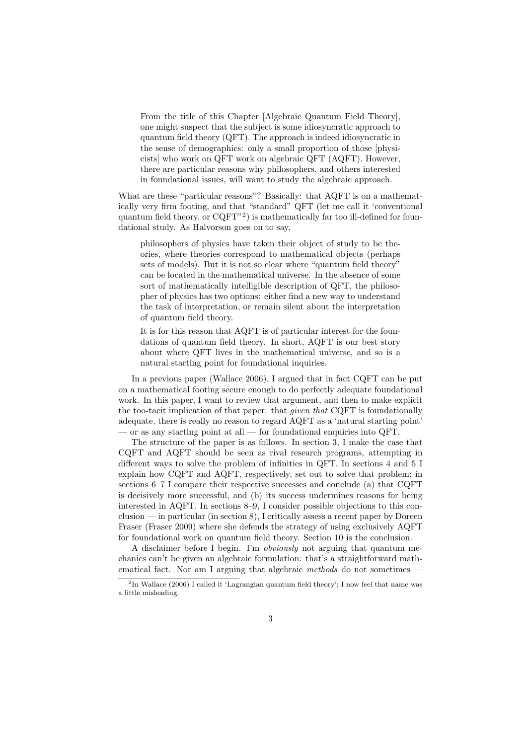From the title of this Chapter [Algebraic Quantum Field Theory], one might suspect that the subject is some idiosyncratic approach to quantum field theory (QFT). The approach is indeed idiosyncratic in the sense of demographics: only a small proportion of those [physicists] who work on QFT work on algebraic QFT (AQFT). However, there are particular reasons why philosophers, and others interested in foundational issues, will want to study the algebraic approach.

What are these "particular reasons"? Basically: that AQFT is on a mathematically very firm footing, and that "standard" QFT (let me call it 'conventional quantum field theory, or  $CQFT$ <sup>"2</sup>) is mathematically far too ill-defined for foundational study. As Halvorson goes on to say,

philosophers of physics have taken their object of study to be theories, where theories correspond to mathematical objects (perhaps sets of models). But it is not so clear where "quantum field theory" can be located in the mathematical universe. In the absence of some sort of mathematically intelligible description of QFT, the philosopher of physics has two options: either find a new way to understand the task of interpretation, or remain silent about the interpretation of quantum field theory.

It is for this reason that AQFT is of particular interest for the foundations of quantum field theory. In short, AQFT is our best story about where QFT lives in the mathematical universe, and so is a natural starting point for foundational inquiries.

In a previous paper (Wallace 2006), I argued that in fact CQFT can be put on a mathematical footing secure enough to do perfectly adequate foundational work. In this paper, I want to review that argument, and then to make explicit the too-tacit implication of that paper: that given that CQFT is foundationally adequate, there is really no reason to regard AQFT as a 'natural starting point' — or as any starting point at all — for foundational enquiries into  $\Omega$ FT.

The structure of the paper is as follows. In section 3, I make the case that CQFT and AQFT should be seen as rival research programs, attempting in different ways to solve the problem of infinities in QFT. In sections 4 and 5 I explain how CQFT and AQFT, respectively, set out to solve that problem; in sections 6–7 I compare their respective successes and conclude (a) that CQFT is decisively more successful, and (b) its success undermines reasons for being interested in AQFT. In sections 8–9, I consider possible objections to this conclusion — in particular (in section 8), I critically assess a recent paper by Doreen Fraser (Fraser 2009) where she defends the strategy of using exclusively AQFT for foundational work on quantum field theory. Section 10 is the conclusion.

A disclaimer before I begin. I'm obviously not arguing that quantum mechanics can't be given an algebraic formulation: that's a straightforward mathematical fact. Nor am I arguing that algebraic methods do not sometimes –

<sup>&</sup>lt;sup>2</sup>In Wallace (2006) I called it 'Lagrangian quantum field theory'; I now feel that name was a little misleading.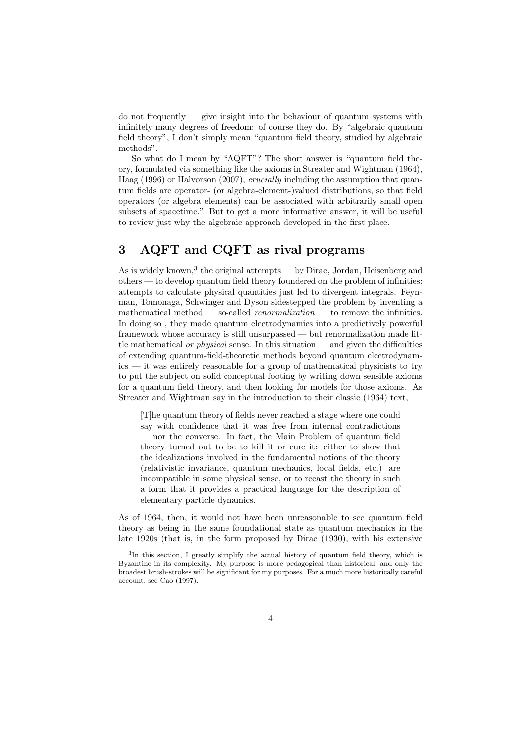do not frequently — give insight into the behaviour of quantum systems with infinitely many degrees of freedom: of course they do. By "algebraic quantum field theory", I don't simply mean "quantum field theory, studied by algebraic methods".

So what do I mean by "AQFT"? The short answer is "quantum field theory, formulated via something like the axioms in Streater and Wightman (1964), Haag (1996) or Halvorson (2007), crucially including the assumption that quantum fields are operator- (or algebra-element-)valued distributions, so that field operators (or algebra elements) can be associated with arbitrarily small open subsets of spacetime." But to get a more informative answer, it will be useful to review just why the algebraic approach developed in the first place.

### 3 AQFT and CQFT as rival programs

As is widely known,<sup>3</sup> the original attempts — by Dirac, Jordan, Heisenberg and others — to develop quantum field theory foundered on the problem of infinities: attempts to calculate physical quantities just led to divergent integrals. Feynman, Tomonaga, Schwinger and Dyson sidestepped the problem by inventing a mathematical method — so-called *renormalization* — to remove the infinities. In doing so , they made quantum electrodynamics into a predictively powerful framework whose accuracy is still unsurpassed — but renormalization made little mathematical *or physical* sense. In this situation — and given the difficulties of extending quantum-field-theoretic methods beyond quantum electrodynamics — it was entirely reasonable for a group of mathematical physicists to try to put the subject on solid conceptual footing by writing down sensible axioms for a quantum field theory, and then looking for models for those axioms. As Streater and Wightman say in the introduction to their classic (1964) text,

[T]he quantum theory of fields never reached a stage where one could say with confidence that it was free from internal contradictions — nor the converse. In fact, the Main Problem of quantum field theory turned out to be to kill it or cure it: either to show that the idealizations involved in the fundamental notions of the theory (relativistic invariance, quantum mechanics, local fields, etc.) are incompatible in some physical sense, or to recast the theory in such a form that it provides a practical language for the description of elementary particle dynamics.

As of 1964, then, it would not have been unreasonable to see quantum field theory as being in the same foundational state as quantum mechanics in the late 1920s (that is, in the form proposed by Dirac (1930), with his extensive

<sup>3</sup> In this section, I greatly simplify the actual history of quantum field theory, which is Byzantine in its complexity. My purpose is more pedagogical than historical, and only the broadest brush-strokes will be significant for my purposes. For a much more historically careful account, see Cao (1997).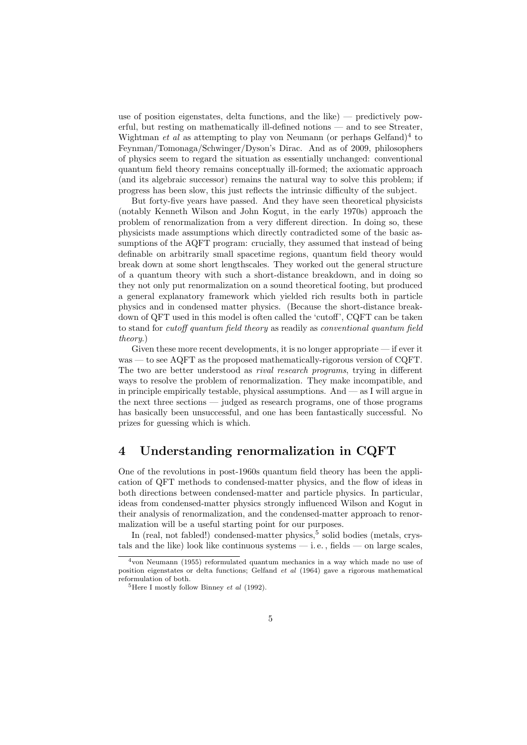use of position eigenstates, delta functions, and the like) — predictively powerful, but resting on mathematically ill-defined notions — and to see Streater, Wightman et al as attempting to play von Neumann (or perhaps Gelfand)<sup>4</sup> to Feynman/Tomonaga/Schwinger/Dyson's Dirac. And as of 2009, philosophers of physics seem to regard the situation as essentially unchanged: conventional quantum field theory remains conceptually ill-formed; the axiomatic approach (and its algebraic successor) remains the natural way to solve this problem; if progress has been slow, this just reflects the intrinsic difficulty of the subject.

But forty-five years have passed. And they have seen theoretical physicists (notably Kenneth Wilson and John Kogut, in the early 1970s) approach the problem of renormalization from a very different direction. In doing so, these physicists made assumptions which directly contradicted some of the basic assumptions of the AQFT program: crucially, they assumed that instead of being definable on arbitrarily small spacetime regions, quantum field theory would break down at some short lengthscales. They worked out the general structure of a quantum theory with such a short-distance breakdown, and in doing so they not only put renormalization on a sound theoretical footing, but produced a general explanatory framework which yielded rich results both in particle physics and in condensed matter physics. (Because the short-distance breakdown of QFT used in this model is often called the 'cutoff', CQFT can be taken to stand for cutoff quantum field theory as readily as conventional quantum field theory.)

Given these more recent developments, it is no longer appropriate — if ever it was — to see AQFT as the proposed mathematically-rigorous version of CQFT. The two are better understood as rival research programs, trying in different ways to resolve the problem of renormalization. They make incompatible, and in principle empirically testable, physical assumptions. And  $-$  as I will argue in the next three sections — judged as research programs, one of those programs has basically been unsuccessful, and one has been fantastically successful. No prizes for guessing which is which.

#### 4 Understanding renormalization in CQFT

One of the revolutions in post-1960s quantum field theory has been the application of QFT methods to condensed-matter physics, and the flow of ideas in both directions between condensed-matter and particle physics. In particular, ideas from condensed-matter physics strongly influenced Wilson and Kogut in their analysis of renormalization, and the condensed-matter approach to renormalization will be a useful starting point for our purposes.

In (real, not fabled!) condensed-matter physics,<sup>5</sup> solid bodies (metals, crystals and the like) look like continuous systems  $-$  i.e., fields  $-$  on large scales,

<sup>4</sup>von Neumann (1955) reformulated quantum mechanics in a way which made no use of position eigenstates or delta functions; Gelfand et al (1964) gave a rigorous mathematical reformulation of both.

 ${}^{5}$ Here I mostly follow Binney *et al* (1992).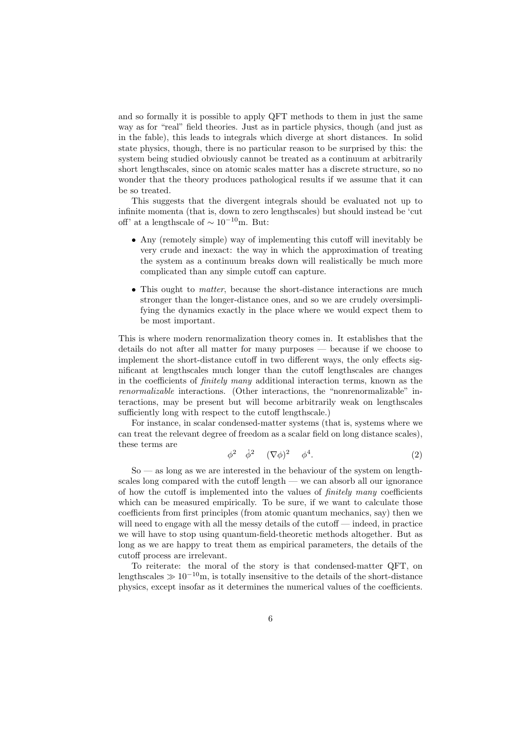and so formally it is possible to apply QFT methods to them in just the same way as for "real" field theories. Just as in particle physics, though (and just as in the fable), this leads to integrals which diverge at short distances. In solid state physics, though, there is no particular reason to be surprised by this: the system being studied obviously cannot be treated as a continuum at arbitrarily short lengthscales, since on atomic scales matter has a discrete structure, so no wonder that the theory produces pathological results if we assume that it can be so treated.

This suggests that the divergent integrals should be evaluated not up to infinite momenta (that is, down to zero lengthscales) but should instead be 'cut off' at a lengthscale of  $\sim 10^{-10}$ m. But:

- ∙ Any (remotely simple) way of implementing this cutoff will inevitably be very crude and inexact: the way in which the approximation of treating the system as a continuum breaks down will realistically be much more complicated than any simple cutoff can capture.
- ∙ This ought to matter, because the short-distance interactions are much stronger than the longer-distance ones, and so we are crudely oversimplifying the dynamics exactly in the place where we would expect them to be most important.

This is where modern renormalization theory comes in. It establishes that the details do not after all matter for many purposes — because if we choose to implement the short-distance cutoff in two different ways, the only effects significant at lengthscales much longer than the cutoff lengthscales are changes in the coefficients of finitely many additional interaction terms, known as the renormalizable interactions. (Other interactions, the "nonrenormalizable" interactions, may be present but will become arbitrarily weak on lengthscales sufficiently long with respect to the cutoff lengthscale.)

For instance, in scalar condensed-matter systems (that is, systems where we can treat the relevant degree of freedom as a scalar field on long distance scales), these terms are

$$
\phi^2 \quad \dot{\phi}^2 \quad (\nabla \phi)^2 \quad \phi^4. \tag{2}
$$

So — as long as we are interested in the behaviour of the system on lengthscales long compared with the cutoff length — we can absorb all our ignorance of how the cutoff is implemented into the values of finitely many coefficients which can be measured empirically. To be sure, if we want to calculate those coefficients from first principles (from atomic quantum mechanics, say) then we will need to engage with all the messy details of the cutoff — indeed, in practice we will have to stop using quantum-field-theoretic methods altogether. But as long as we are happy to treat them as empirical parameters, the details of the cutoff process are irrelevant.

To reiterate: the moral of the story is that condensed-matter QFT, on lengthscales  $\gg 10^{-10}$ m, is totally insensitive to the details of the short-distance physics, except insofar as it determines the numerical values of the coefficients.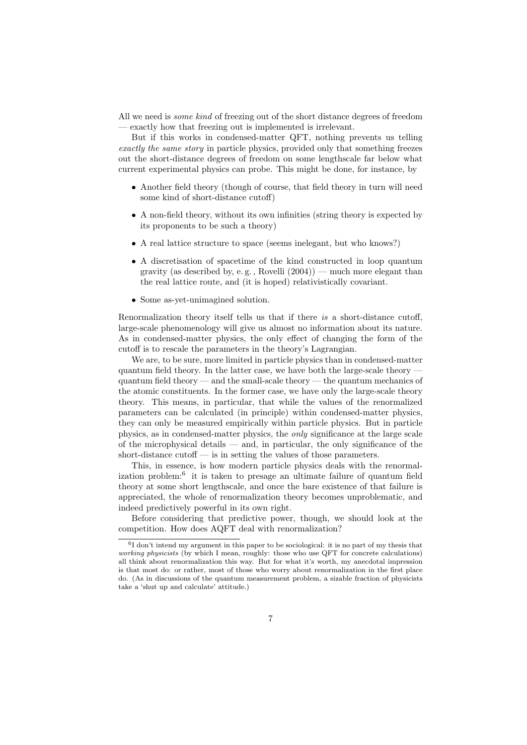All we need is *some kind* of freezing out of the short distance degrees of freedom — exactly how that freezing out is implemented is irrelevant.

But if this works in condensed-matter QFT, nothing prevents us telling exactly the same story in particle physics, provided only that something freezes out the short-distance degrees of freedom on some lengthscale far below what current experimental physics can probe. This might be done, for instance, by

- ∙ Another field theory (though of course, that field theory in turn will need some kind of short-distance cutoff)
- ∙ A non-field theory, without its own infinities (string theory is expected by its proponents to be such a theory)
- ∙ A real lattice structure to space (seems inelegant, but who knows?)
- ∙ A discretisation of spacetime of the kind constructed in loop quantum gravity (as described by, e.g., Rovelli  $(2004)$ ) — much more elegant than the real lattice route, and (it is hoped) relativistically covariant.
- ∙ Some as-yet-unimagined solution.

Renormalization theory itself tells us that if there is a short-distance cutoff, large-scale phenomenology will give us almost no information about its nature. As in condensed-matter physics, the only effect of changing the form of the cutoff is to rescale the parameters in the theory's Lagrangian.

We are, to be sure, more limited in particle physics than in condensed-matter quantum field theory. In the latter case, we have both the large-scale theory quantum field theory — and the small-scale theory — the quantum mechanics of the atomic constituents. In the former case, we have only the large-scale theory theory. This means, in particular, that while the values of the renormalized parameters can be calculated (in principle) within condensed-matter physics, they can only be measured empirically within particle physics. But in particle physics, as in condensed-matter physics, the only significance at the large scale of the microphysical details  $\sim$  and, in particular, the only significance of the short-distance cutoff  $\frac{1}{2}$  is in setting the values of those parameters.

This, in essence, is how modern particle physics deals with the renormalization problem:<sup>6</sup> it is taken to presage an ultimate failure of quantum field theory at some short lengthscale, and once the bare existence of that failure is appreciated, the whole of renormalization theory becomes unproblematic, and indeed predictively powerful in its own right.

Before considering that predictive power, though, we should look at the competition. How does AQFT deal with renormalization?

<sup>6</sup> I don't intend my argument in this paper to be sociological: it is no part of my thesis that working physicists (by which I mean, roughly: those who use QFT for concrete calculations) all think about renormalization this way. But for what it's worth, my anecdotal impression is that most do: or rather, most of those who worry about renormalization in the first place do. (As in discussions of the quantum measurement problem, a sizable fraction of physicists take a 'shut up and calculate' attitude.)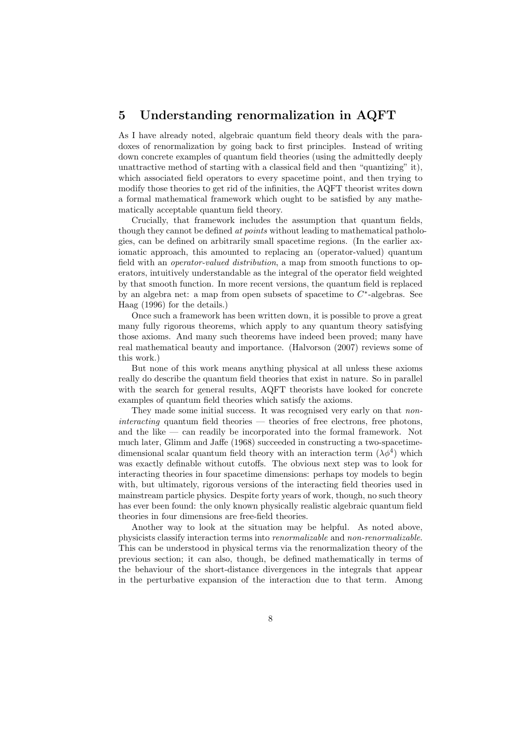#### 5 Understanding renormalization in AQFT

As I have already noted, algebraic quantum field theory deals with the paradoxes of renormalization by going back to first principles. Instead of writing down concrete examples of quantum field theories (using the admittedly deeply unattractive method of starting with a classical field and then "quantizing" it), which associated field operators to every spacetime point, and then trying to modify those theories to get rid of the infinities, the AQFT theorist writes down a formal mathematical framework which ought to be satisfied by any mathematically acceptable quantum field theory.

Crucially, that framework includes the assumption that quantum fields, though they cannot be defined *at points* without leading to mathematical pathologies, can be defined on arbitrarily small spacetime regions. (In the earlier axiomatic approach, this amounted to replacing an (operator-valued) quantum field with an operator-valued distribution, a map from smooth functions to operators, intuitively understandable as the integral of the operator field weighted by that smooth function. In more recent versions, the quantum field is replaced by an algebra net: a map from open subsets of spacetime to  $C^*$ -algebras. See Haag (1996) for the details.)

Once such a framework has been written down, it is possible to prove a great many fully rigorous theorems, which apply to any quantum theory satisfying those axioms. And many such theorems have indeed been proved; many have real mathematical beauty and importance. (Halvorson (2007) reviews some of this work.)

But none of this work means anything physical at all unless these axioms really do describe the quantum field theories that exist in nature. So in parallel with the search for general results, AQFT theorists have looked for concrete examples of quantum field theories which satisfy the axioms.

They made some initial success. It was recognised very early on that noninteracting quantum field theories — theories of free electrons, free photons, and the like — can readily be incorporated into the formal framework. Not much later, Glimm and Jaffe (1968) succeeded in constructing a two-spacetimedimensional scalar quantum field theory with an interaction term  $(\lambda \phi^4)$  which was exactly definable without cutoffs. The obvious next step was to look for interacting theories in four spacetime dimensions: perhaps toy models to begin with, but ultimately, rigorous versions of the interacting field theories used in mainstream particle physics. Despite forty years of work, though, no such theory has ever been found: the only known physically realistic algebraic quantum field theories in four dimensions are free-field theories.

Another way to look at the situation may be helpful. As noted above, physicists classify interaction terms into renormalizable and non-renormalizable. This can be understood in physical terms via the renormalization theory of the previous section; it can also, though, be defined mathematically in terms of the behaviour of the short-distance divergences in the integrals that appear in the perturbative expansion of the interaction due to that term. Among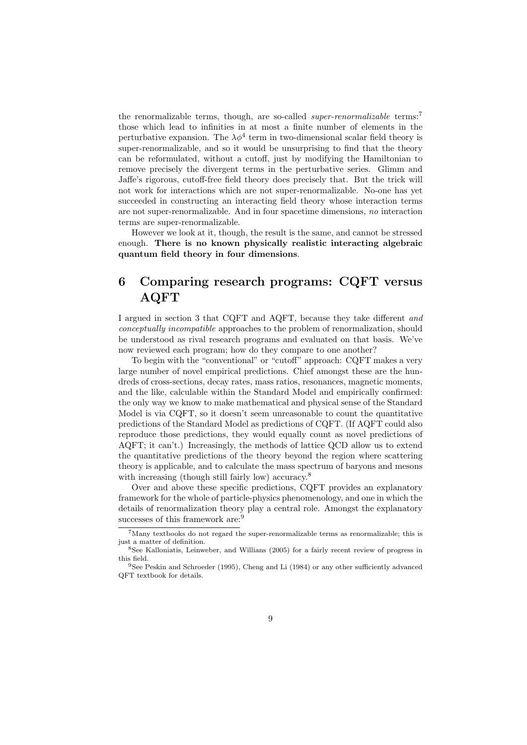the renormalizable terms, though, are so-called *super-renormalizable* terms:<sup>7</sup> those which lead to infinities in at most a finite number of elements in the perturbative expansion. The  $\lambda \phi^4$  term in two-dimensional scalar field theory is super-renormalizable, and so it would be unsurprising to find that the theory can be reformulated, without a cutoff, just by modifying the Hamiltonian to remove precisely the divergent terms in the perturbative series. Glimm and Jaffe's rigorous, cutoff-free field theory does precisely that. But the trick will not work for interactions which are not super-renormalizable. No-one has yet succeeded in constructing an interacting field theory whose interaction terms are not super-renormalizable. And in four spacetime dimensions, no interaction terms are super-renormalizable.

However we look at it, though, the result is the same, and cannot be stressed enough. There is no known physically realistic interacting algebraic quantum field theory in four dimensions.

### 6 Comparing research programs: CQFT versus AQFT

I argued in section 3 that CQFT and AQFT, because they take different and conceptually incompatible approaches to the problem of renormalization, should be understood as rival research programs and evaluated on that basis. We've now reviewed each program; how do they compare to one another?

To begin with the "conventional" or "cutoff" approach: CQFT makes a very large number of novel empirical predictions. Chief amongst these are the hundreds of cross-sections, decay rates, mass ratios, resonances, magnetic moments, and the like, calculable within the Standard Model and empirically confirmed: the only way we know to make mathematical and physical sense of the Standard Model is via CQFT, so it doesn't seem unreasonable to count the quantitative predictions of the Standard Model as predictions of CQFT. (If AQFT could also reproduce those predictions, they would equally count as novel predictions of AQFT; it can't.) Increasingly, the methods of lattice QCD allow us to extend the quantitative predictions of the theory beyond the region where scattering theory is applicable, and to calculate the mass spectrum of baryons and mesons with increasing (though still fairly low) accuracy.<sup>8</sup>

Over and above these specific predictions, CQFT provides an explanatory framework for the whole of particle-physics phenomenology, and one in which the details of renormalization theory play a central role. Amongst the explanatory successes of this framework are:<sup>9</sup>

 $7$ Many textbooks do not regard the super-renormalizable terms as renormalizable; this is just a matter of definition.

<sup>8</sup>See Kalloniatis, Leinweber, and Willians (2005) for a fairly recent review of progress in this field.

<sup>9</sup>See Peskin and Schroeder (1995), Cheng and Li (1984) or any other sufficiently advanced QFT textbook for details.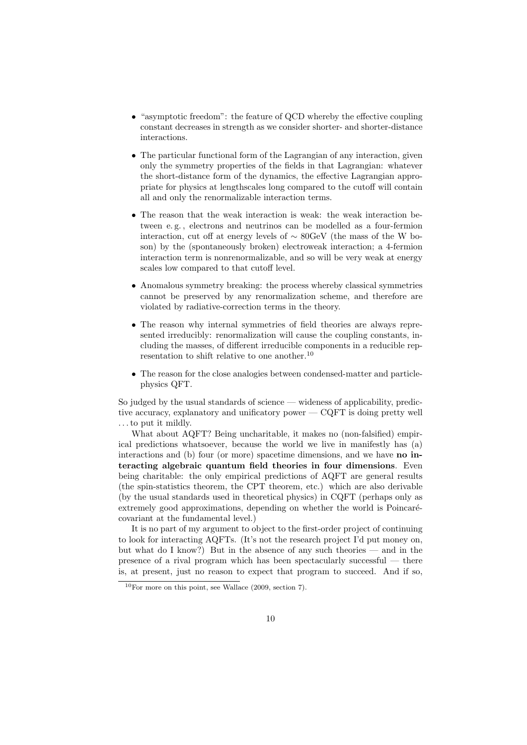- ∙ "asymptotic freedom": the feature of QCD whereby the effective coupling constant decreases in strength as we consider shorter- and shorter-distance interactions.
- ∙ The particular functional form of the Lagrangian of any interaction, given only the symmetry properties of the fields in that Lagrangian: whatever the short-distance form of the dynamics, the effective Lagrangian appropriate for physics at lengthscales long compared to the cutoff will contain all and only the renormalizable interaction terms.
- ∙ The reason that the weak interaction is weak: the weak interaction between e. g. , electrons and neutrinos can be modelled as a four-fermion interaction, cut off at energy levels of ∼ 80GeV (the mass of the W boson) by the (spontaneously broken) electroweak interaction; a 4-fermion interaction term is nonrenormalizable, and so will be very weak at energy scales low compared to that cutoff level.
- ∙ Anomalous symmetry breaking: the process whereby classical symmetries cannot be preserved by any renormalization scheme, and therefore are violated by radiative-correction terms in the theory.
- ∙ The reason why internal symmetries of field theories are always represented irreducibly: renormalization will cause the coupling constants, including the masses, of different irreducible components in a reducible representation to shift relative to one another.<sup>10</sup>
- ∙ The reason for the close analogies between condensed-matter and particlephysics QFT.

So judged by the usual standards of science — wideness of applicability, predictive accuracy, explanatory and unificatory power — CQFT is doing pretty well . . . to put it mildly.

What about AQFT? Being uncharitable, it makes no (non-falsified) empirical predictions whatsoever, because the world we live in manifestly has (a) interactions and (b) four (or more) spacetime dimensions, and we have no interacting algebraic quantum field theories in four dimensions. Even being charitable: the only empirical predictions of AQFT are general results (the spin-statistics theorem, the CPT theorem, etc.) which are also derivable (by the usual standards used in theoretical physics) in CQFT (perhaps only as extremely good approximations, depending on whether the world is Poincarécovariant at the fundamental level.)

It is no part of my argument to object to the first-order project of continuing to look for interacting AQFTs. (It's not the research project I'd put money on, but what do I know?) But in the absence of any such theories — and in the presence of a rival program which has been spectacularly successful — there is, at present, just no reason to expect that program to succeed. And if so,

 $10$ For more on this point, see Wallace (2009, section 7).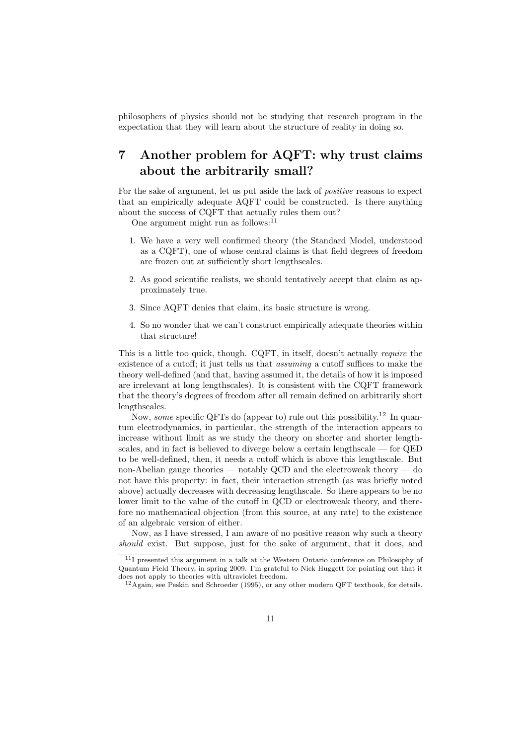philosophers of physics should not be studying that research program in the expectation that they will learn about the structure of reality in doing so.

## 7 Another problem for AQFT: why trust claims about the arbitrarily small?

For the sake of argument, let us put aside the lack of positive reasons to expect that an empirically adequate AQFT could be constructed. Is there anything about the success of CQFT that actually rules them out?

One argument might run as follows: $11$ 

- 1. We have a very well confirmed theory (the Standard Model, understood as a CQFT), one of whose central claims is that field degrees of freedom are frozen out at sufficiently short lengthscales.
- 2. As good scientific realists, we should tentatively accept that claim as approximately true.
- 3. Since AQFT denies that claim, its basic structure is wrong.
- 4. So no wonder that we can't construct empirically adequate theories within that structure!

This is a little too quick, though. CQFT, in itself, doesn't actually require the existence of a cutoff; it just tells us that assuming a cutoff suffices to make the theory well-defined (and that, having assumed it, the details of how it is imposed are irrelevant at long lengthscales). It is consistent with the CQFT framework that the theory's degrees of freedom after all remain defined on arbitrarily short lengthscales.

Now, some specific QFTs do (appear to) rule out this possibility.<sup>12</sup> In quantum electrodynamics, in particular, the strength of the interaction appears to increase without limit as we study the theory on shorter and shorter lengthscales, and in fact is believed to diverge below a certain lengthscale — for QED to be well-defined, then, it needs a cutoff which is above this lengthscale. But non-Abelian gauge theories — notably QCD and the electroweak theory — do not have this property: in fact, their interaction strength (as was briefly noted above) actually decreases with decreasing lengthscale. So there appears to be no lower limit to the value of the cutoff in QCD or electroweak theory, and therefore no mathematical objection (from this source, at any rate) to the existence of an algebraic version of either.

Now, as I have stressed, I am aware of no positive reason why such a theory should exist. But suppose, just for the sake of argument, that it does, and

<sup>11</sup>I presented this argument in a talk at the Western Ontario conference on Philosophy of Quantum Field Theory, in spring 2009. I'm grateful to Nick Huggett for pointing out that it does not apply to theories with ultraviolet freedom.

 $12$ Again, see Peskin and Schroeder (1995), or any other modern QFT textbook, for details.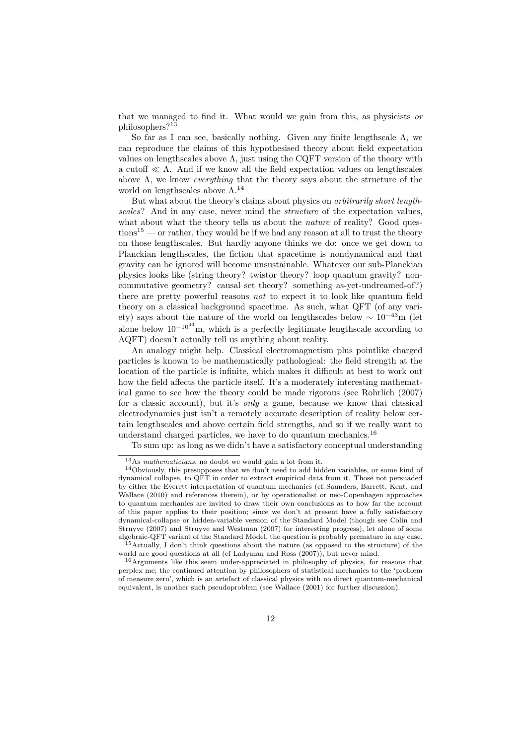that we managed to find it. What would we gain from this, as physicists or philosophers?<sup>13</sup>

So far as I can see, basically nothing. Given any finite lengthscale  $\Lambda$ , we can reproduce the claims of this hypothesised theory about field expectation values on lengthscales above  $\Lambda$ , just using the CQFT version of the theory with a cutoff  $\ll \Lambda$ . And if we know all the field expectation values on lengthscales above  $\Lambda$ , we know *everything* that the theory says about the structure of the world on lengthscales above  $\Lambda$ <sup>14</sup>

But what about the theory's claims about physics on *arbitrarily short length*scales? And in any case, never mind the *structure* of the expectation values, what about what the theory tells us about the *nature* of reality? Good ques $tions<sup>15</sup>$  — or rather, they would be if we had any reason at all to trust the theory on those lengthscales. But hardly anyone thinks we do: once we get down to Planckian lengthscales, the fiction that spacetime is nondynamical and that gravity can be ignored will become unsustainable. Whatever our sub-Planckian physics looks like (string theory? twistor theory? loop quantum gravity? noncommutative geometry? causal set theory? something as-yet-undreamed-of?) there are pretty powerful reasons not to expect it to look like quantum field theory on a classical background spacetime. As such, what QFT (of any variety) says about the nature of the world on lengthscales below  $\sim 10^{-43}$ m (let alone below  $10^{-10^{43}}$ m, which is a perfectly legitimate lengthscale according to AQFT) doesn't actually tell us anything about reality.

An analogy might help. Classical electromagnetism plus pointlike charged particles is known to be mathematically pathological: the field strength at the location of the particle is infinite, which makes it difficult at best to work out how the field affects the particle itself. It's a moderately interesting mathematical game to see how the theory could be made rigorous (see Rohrlich (2007) for a classic account), but it's only a game, because we know that classical electrodynamics just isn't a remotely accurate description of reality below certain lengthscales and above certain field strengths, and so if we really want to understand charged particles, we have to do quantum mechanics.<sup>16</sup>

To sum up: as long as we didn't have a satisfactory conceptual understanding

 $^{13}$ As *mathematicians*, no doubt we would gain a lot from it.

<sup>14</sup>Obviously, this presupposes that we don't need to add hidden variables, or some kind of dynamical collapse, to QFT in order to extract empirical data from it. Those not persuaded by either the Everett interpretation of quantum mechanics (cf. Saunders, Barrett, Kent, and Wallace (2010) and references therein), or by operationalist or neo-Copenhagen approaches to quantum mechanics are invited to draw their own conclusions as to how far the account of this paper applies to their position; since we don't at present have a fully satisfactory dynamical-collapse or hidden-variable version of the Standard Model (though see Colin and Struyve (2007) and Struyve and Westman (2007) for interesting progress), let alone of some algebraic-QFT variant of the Standard Model, the question is probably premature in any case.

<sup>15</sup>Actually, I don't think questions about the nature (as opposed to the structure) of the world are good questions at all (cf Ladyman and Ross (2007)), but never mind.

<sup>16</sup>Arguments like this seem under-appreciated in philosophy of physics, for reasons that perplex me; the continued attention by philosophers of statistical mechanics to the 'problem of measure zero', which is an artefact of classical physics with no direct quantum-mechanical equivalent, is another such pseudoproblem (see Wallace (2001) for further discussion).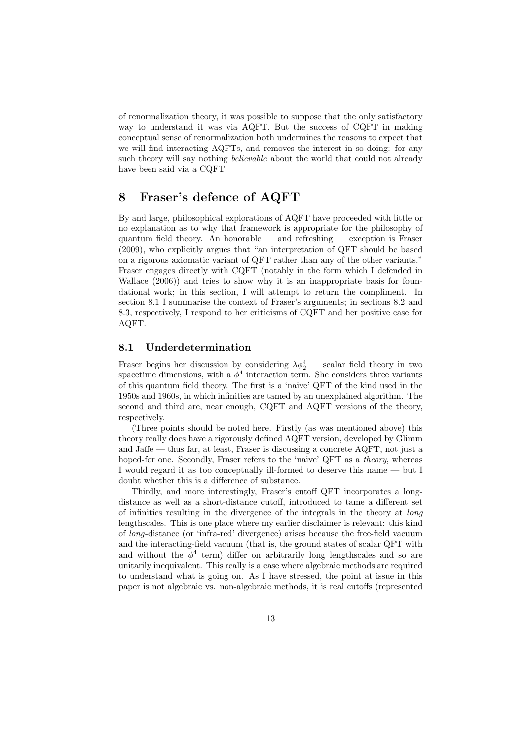of renormalization theory, it was possible to suppose that the only satisfactory way to understand it was via AQFT. But the success of CQFT in making conceptual sense of renormalization both undermines the reasons to expect that we will find interacting AQFTs, and removes the interest in so doing: for any such theory will say nothing *believable* about the world that could not already have been said via a CQFT.

#### 8 Fraser's defence of AQFT

By and large, philosophical explorations of AQFT have proceeded with little or no explanation as to why that framework is appropriate for the philosophy of quantum field theory. An honorable — and refreshing — exception is Fraser (2009), who explicitly argues that "an interpretation of QFT should be based on a rigorous axiomatic variant of QFT rather than any of the other variants." Fraser engages directly with CQFT (notably in the form which I defended in Wallace (2006)) and tries to show why it is an inappropriate basis for foundational work; in this section, I will attempt to return the compliment. In section 8.1 I summarise the context of Fraser's arguments; in sections 8.2 and 8.3, respectively, I respond to her criticisms of CQFT and her positive case for AQFT.

#### 8.1 Underdetermination

Fraser begins her discussion by considering  $\lambda \phi_2^4$  — scalar field theory in two spacetime dimensions, with a  $\phi^4$  interaction term. She considers three variants of this quantum field theory. The first is a 'naive' QFT of the kind used in the 1950s and 1960s, in which infinities are tamed by an unexplained algorithm. The second and third are, near enough, CQFT and AQFT versions of the theory, respectively.

(Three points should be noted here. Firstly (as was mentioned above) this theory really does have a rigorously defined AQFT version, developed by Glimm and Jaffe — thus far, at least, Fraser is discussing a concrete AQFT, not just a hoped-for one. Secondly, Fraser refers to the 'naive' QFT as a *theory*, whereas I would regard it as too conceptually ill-formed to deserve this name — but I doubt whether this is a difference of substance.

Thirdly, and more interestingly, Fraser's cutoff QFT incorporates a longdistance as well as a short-distance cutoff, introduced to tame a different set of infinities resulting in the divergence of the integrals in the theory at long lengthscales. This is one place where my earlier disclaimer is relevant: this kind of long-distance (or 'infra-red' divergence) arises because the free-field vacuum and the interacting-field vacuum (that is, the ground states of scalar QFT with and without the  $\phi^4$  term) differ on arbitrarily long lengthscales and so are unitarily inequivalent. This really is a case where algebraic methods are required to understand what is going on. As I have stressed, the point at issue in this paper is not algebraic vs. non-algebraic methods, it is real cutoffs (represented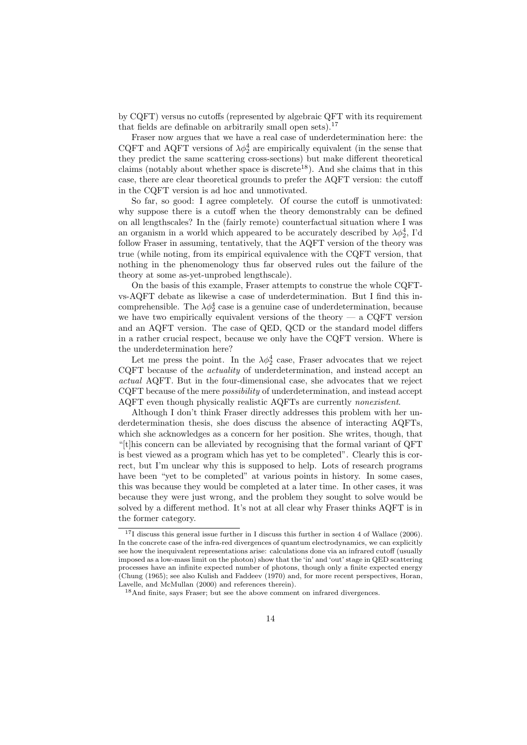by CQFT) versus no cutoffs (represented by algebraic QFT with its requirement that fields are definable on arbitrarily small open sets).<sup>17</sup>

Fraser now argues that we have a real case of underdetermination here: the CQFT and AQFT versions of  $\lambda \phi_2^4$  are empirically equivalent (in the sense that they predict the same scattering cross-sections) but make different theoretical claims (notably about whether space is discrete<sup>18</sup>). And she claims that in this case, there are clear theoretical grounds to prefer the AQFT version: the cutoff in the CQFT version is ad hoc and unmotivated.

So far, so good: I agree completely. Of course the cutoff is unmotivated: why suppose there is a cutoff when the theory demonstrably can be defined on all lengthscales? In the (fairly remote) counterfactual situation where I was an organism in a world which appeared to be accurately described by  $\lambda \phi_2^4$ , I'd follow Fraser in assuming, tentatively, that the AQFT version of the theory was true (while noting, from its empirical equivalence with the CQFT version, that nothing in the phenomenology thus far observed rules out the failure of the theory at some as-yet-unprobed lengthscale).

On the basis of this example, Fraser attempts to construe the whole CQFTvs-AQFT debate as likewise a case of underdetermination. But I find this incomprehensible. The  $\lambda \phi_2^4$  case is a genuine case of underdetermination, because we have two empirically equivalent versions of the theory  $-$  a CQFT version and an AQFT version. The case of QED, QCD or the standard model differs in a rather crucial respect, because we only have the CQFT version. Where is the underdetermination here?

Let me press the point. In the  $\lambda \phi_2^4$  case, Fraser advocates that we reject CQFT because of the actuality of underdetermination, and instead accept an actual AQFT. But in the four-dimensional case, she advocates that we reject CQFT because of the mere possibility of underdetermination, and instead accept AQFT even though physically realistic AQFTs are currently nonexistent.

Although I don't think Fraser directly addresses this problem with her underdetermination thesis, she does discuss the absence of interacting AQFTs, which she acknowledges as a concern for her position. She writes, though, that "[t]his concern can be alleviated by recognising that the formal variant of QFT is best viewed as a program which has yet to be completed". Clearly this is correct, but I'm unclear why this is supposed to help. Lots of research programs have been "yet to be completed" at various points in history. In some cases, this was because they would be completed at a later time. In other cases, it was because they were just wrong, and the problem they sought to solve would be solved by a different method. It's not at all clear why Fraser thinks AQFT is in the former category.

<sup>&</sup>lt;sup>17</sup>I discuss this general issue further in I discuss this further in section 4 of Wallace (2006). In the concrete case of the infra-red divergences of quantum electrodynamics, we can explicitly see how the inequivalent representations arise: calculations done via an infrared cutoff (usually imposed as a low-mass limit on the photon) show that the 'in' and 'out' stage in QED scattering processes have an infinite expected number of photons, though only a finite expected energy (Chung (1965); see also Kulish and Faddeev (1970) and, for more recent perspectives, Horan, Lavelle, and McMullan (2000) and references therein).

<sup>18</sup>And finite, says Fraser; but see the above comment on infrared divergences.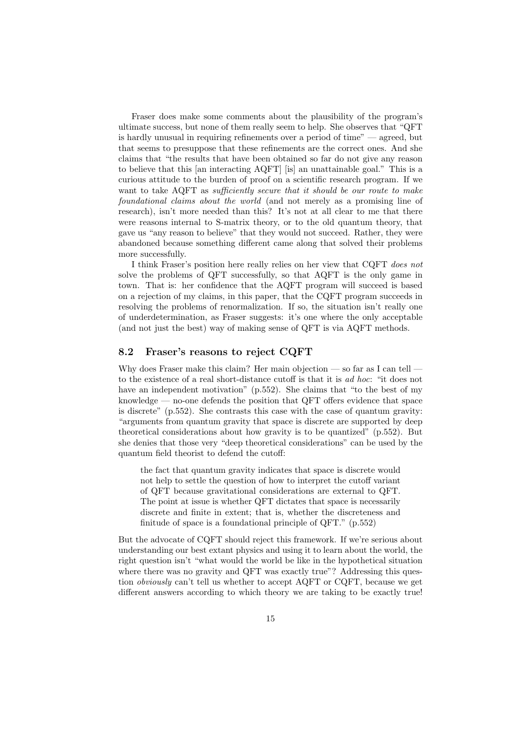Fraser does make some comments about the plausibility of the program's ultimate success, but none of them really seem to help. She observes that "QFT is hardly unusual in requiring refinements over a period of time" — agreed, but that seems to presuppose that these refinements are the correct ones. And she claims that "the results that have been obtained so far do not give any reason to believe that this [an interacting AQFT] [is] an unattainable goal." This is a curious attitude to the burden of proof on a scientific research program. If we want to take AQFT as *sufficiently secure that it should be our route to make* foundational claims about the world (and not merely as a promising line of research), isn't more needed than this? It's not at all clear to me that there were reasons internal to S-matrix theory, or to the old quantum theory, that gave us "any reason to believe" that they would not succeed. Rather, they were abandoned because something different came along that solved their problems more successfully.

I think Fraser's position here really relies on her view that CQFT does not solve the problems of QFT successfully, so that AQFT is the only game in town. That is: her confidence that the AQFT program will succeed is based on a rejection of my claims, in this paper, that the CQFT program succeeds in resolving the problems of renormalization. If so, the situation isn't really one of underdetermination, as Fraser suggests: it's one where the only acceptable (and not just the best) way of making sense of QFT is via AQFT methods.

#### 8.2 Fraser's reasons to reject CQFT

Why does Fraser make this claim? Her main objection — so far as I can tell to the existence of a real short-distance cutoff is that it is ad hoc: "it does not have an independent motivation" (p.552). She claims that "to the best of my knowledge — no-one defends the position that QFT offers evidence that space is discrete" (p.552). She contrasts this case with the case of quantum gravity: "arguments from quantum gravity that space is discrete are supported by deep theoretical considerations about how gravity is to be quantized" (p.552). But she denies that those very "deep theoretical considerations" can be used by the quantum field theorist to defend the cutoff:

the fact that quantum gravity indicates that space is discrete would not help to settle the question of how to interpret the cutoff variant of QFT because gravitational considerations are external to QFT. The point at issue is whether QFT dictates that space is necessarily discrete and finite in extent; that is, whether the discreteness and finitude of space is a foundational principle of QFT." (p.552)

But the advocate of CQFT should reject this framework. If we're serious about understanding our best extant physics and using it to learn about the world, the right question isn't "what would the world be like in the hypothetical situation where there was no gravity and QFT was exactly true"? Addressing this question obviously can't tell us whether to accept AQFT or CQFT, because we get different answers according to which theory we are taking to be exactly true!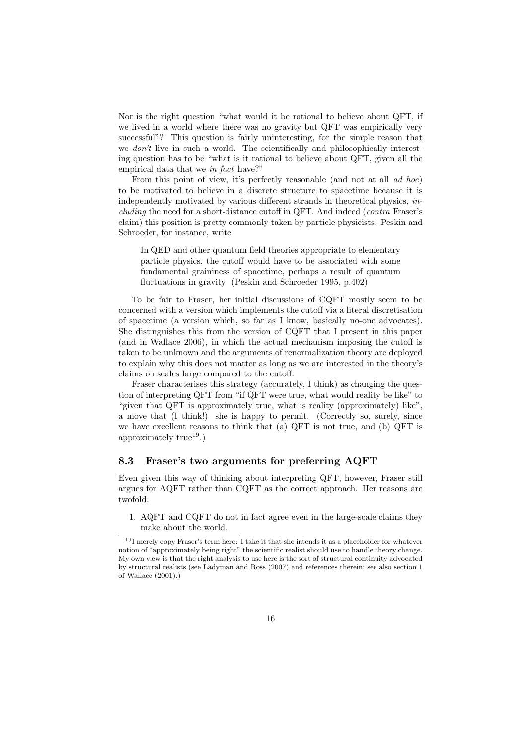Nor is the right question "what would it be rational to believe about QFT, if we lived in a world where there was no gravity but QFT was empirically very successful"? This question is fairly uninteresting, for the simple reason that we *don't* live in such a world. The scientifically and philosophically interesting question has to be "what is it rational to believe about QFT, given all the empirical data that we in fact have?"

From this point of view, it's perfectly reasonable (and not at all *ad hoc*) to be motivated to believe in a discrete structure to spacetime because it is independently motivated by various different strands in theoretical physics, including the need for a short-distance cutoff in QFT. And indeed (*contra* Fraser's claim) this position is pretty commonly taken by particle physicists. Peskin and Schroeder, for instance, write

In QED and other quantum field theories appropriate to elementary particle physics, the cutoff would have to be associated with some fundamental graininess of spacetime, perhaps a result of quantum fluctuations in gravity. (Peskin and Schroeder 1995, p.402)

To be fair to Fraser, her initial discussions of CQFT mostly seem to be concerned with a version which implements the cutoff via a literal discretisation of spacetime (a version which, so far as I know, basically no-one advocates). She distinguishes this from the version of CQFT that I present in this paper (and in Wallace 2006), in which the actual mechanism imposing the cutoff is taken to be unknown and the arguments of renormalization theory are deployed to explain why this does not matter as long as we are interested in the theory's claims on scales large compared to the cutoff.

Fraser characterises this strategy (accurately, I think) as changing the question of interpreting QFT from "if QFT were true, what would reality be like" to "given that QFT is approximately true, what is reality (approximately) like", a move that (I think!) she is happy to permit. (Correctly so, surely, since we have excellent reasons to think that (a) QFT is not true, and (b) QFT is approximately true<sup>19</sup>.)

#### 8.3 Fraser's two arguments for preferring AQFT

Even given this way of thinking about interpreting QFT, however, Fraser still argues for AQFT rather than CQFT as the correct approach. Her reasons are twofold:

1. AQFT and CQFT do not in fact agree even in the large-scale claims they make about the world.

<sup>19</sup>I merely copy Fraser's term here: I take it that she intends it as a placeholder for whatever notion of "approximately being right" the scientific realist should use to handle theory change. My own view is that the right analysis to use here is the sort of structural continuity advocated by structural realists (see Ladyman and Ross (2007) and references therein; see also section 1 of Wallace (2001).)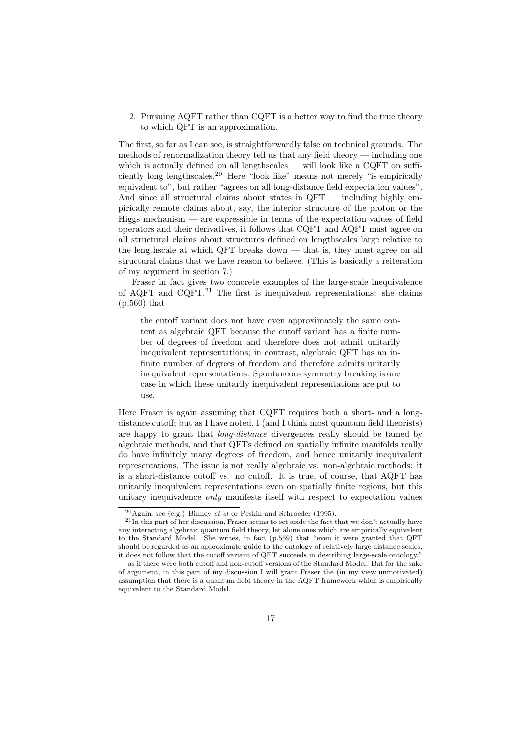2. Pursuing AQFT rather than CQFT is a better way to find the true theory to which QFT is an approximation.

The first, so far as I can see, is straightforwardly false on technical grounds. The methods of renormalization theory tell us that any field theory — including one which is actually defined on all lengthscales — will look like a CQFT on sufficiently long lengthscales.<sup>20</sup> Here "look like" means not merely "is empirically equivalent to", but rather "agrees on all long-distance field expectation values". And since all structural claims about states in  $QFT$  — including highly empirically remote claims about, say, the interior structure of the proton or the Higgs mechanism — are expressible in terms of the expectation values of field operators and their derivatives, it follows that CQFT and AQFT must agree on all structural claims about structures defined on lengthscales large relative to the lengthscale at which QFT breaks down — that is, they must agree on all structural claims that we have reason to believe. (This is basically a reiteration of my argument in section 7.)

Fraser in fact gives two concrete examples of the large-scale inequivalence of AQFT and  $CQFT.<sup>21</sup>$  The first is inequivalent representations: she claims (p.560) that

the cutoff variant does not have even approximately the same content as algebraic QFT because the cutoff variant has a finite number of degrees of freedom and therefore does not admit unitarily inequivalent representations; in contrast, algebraic QFT has an infinite number of degrees of freedom and therefore admits unitarily inequivalent representations. Spontaneous symmetry breaking is one case in which these unitarily inequivalent representations are put to use.

Here Fraser is again assuming that CQFT requires both a short- and a longdistance cutoff; but as I have noted, I (and I think most quantum field theorists) are happy to grant that long-distance divergences really should be tamed by algebraic methods, and that QFTs defined on spatially infinite manifolds really do have infinitely many degrees of freedom, and hence unitarily inequivalent representations. The issue is not really algebraic vs. non-algebraic methods: it is a short-distance cutoff vs. no cutoff. It is true, of course, that AQFT has unitarily inequivalent representations even on spatially finite regions, but this unitary inequivalence only manifests itself with respect to expectation values

 $^{20}$ Again, see (e.g.) Binney et al or Peskin and Schroeder (1995).

 $^{21}$ In this part of her discussion, Fraser seems to set aside the fact that we don't actually have any interacting algebraic quantum field theory, let alone ones which are empirically equivalent to the Standard Model. She writes, in fact (p.559) that "even it were granted that QFT should be regarded as an approximate guide to the ontology of relatively large distance scales, it does not follow that the cutoff variant of QFT succeeds in describing large-scale ontology." — as if there were both cutoff and non-cutoff versions of the Standard Model. But for the sake of argument, in this part of my discussion I will grant Fraser the (in my view unmotivated) assumption that there is a quantum field theory in the AQFT framework which is empirically equivalent to the Standard Model.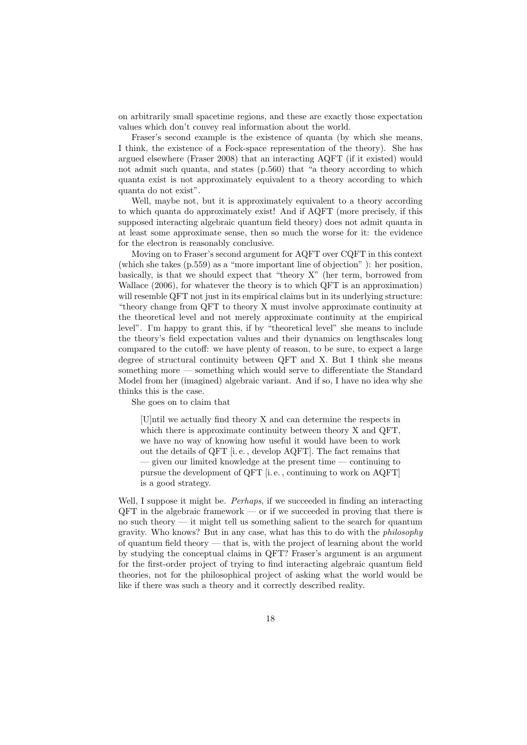on arbitrarily small spacetime regions, and these are exactly those expectation values which don't convey real information about the world.

Fraser's second example is the existence of quanta (by which she means, I think, the existence of a Fock-space representation of the theory). She has argued elsewhere (Fraser 2008) that an interacting AQFT (if it existed) would not admit such quanta, and states (p.560) that "a theory according to which quanta exist is not approximately equivalent to a theory according to which quanta do not exist".

Well, maybe not, but it is approximately equivalent to a theory according to which quanta do approximately exist! And if AQFT (more precisely, if this supposed interacting algebraic quantum field theory) does not admit quanta in at least some approximate sense, then so much the worse for it: the evidence for the electron is reasonably conclusive.

Moving on to Fraser's second argument for AQFT over CQFT in this context (which she takes (p.559) as a "more important line of objection" ): her position, basically, is that we should expect that "theory X" (her term, borrowed from Wallace (2006), for whatever the theory is to which QFT is an approximation) will resemble QFT not just in its empirical claims but in its underlying structure: "theory change from QFT to theory X must involve approximate continuity at the theoretical level and not merely approximate continuity at the empirical level". I'm happy to grant this, if by "theoretical level" she means to include the theory's field expectation values and their dynamics on lengthscales long compared to the cutoff: we have plenty of reason, to be sure, to expect a large degree of structural continuity between QFT and X. But I think she means something more — something which would serve to differentiate the Standard Model from her (imagined) algebraic variant. And if so, I have no idea why she thinks this is the case.

She goes on to claim that

[U]ntil we actually find theory X and can determine the respects in which there is approximate continuity between theory X and QFT, we have no way of knowing how useful it would have been to work out the details of QFT [i. e. , develop AQFT]. The fact remains that — given our limited knowledge at the present time — continuing to pursue the development of QFT [i. e. , continuing to work on AQFT] is a good strategy.

Well, I suppose it might be. Perhaps, if we succeeded in finding an interacting QFT in the algebraic framework — or if we succeeded in proving that there is no such theory  $-$  it might tell us something salient to the search for quantum gravity. Who knows? But in any case, what has this to do with the philosophy of quantum field theory — that is, with the project of learning about the world by studying the conceptual claims in QFT? Fraser's argument is an argument for the first-order project of trying to find interacting algebraic quantum field theories, not for the philosophical project of asking what the world would be like if there was such a theory and it correctly described reality.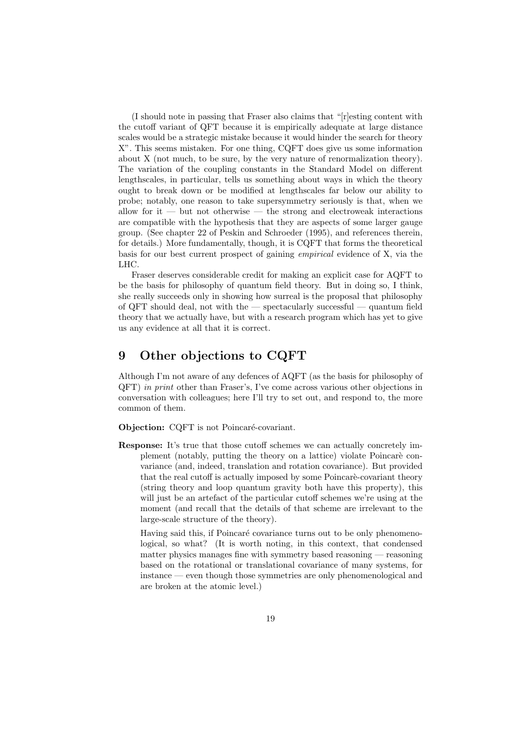(I should note in passing that Fraser also claims that "[r]esting content with the cutoff variant of QFT because it is empirically adequate at large distance scales would be a strategic mistake because it would hinder the search for theory X". This seems mistaken. For one thing, CQFT does give us some information about X (not much, to be sure, by the very nature of renormalization theory). The variation of the coupling constants in the Standard Model on different lengthscales, in particular, tells us something about ways in which the theory ought to break down or be modified at lengthscales far below our ability to probe; notably, one reason to take supersymmetry seriously is that, when we allow for it — but not otherwise — the strong and electroweak interactions are compatible with the hypothesis that they are aspects of some larger gauge group. (See chapter 22 of Peskin and Schroeder (1995), and references therein, for details.) More fundamentally, though, it is CQFT that forms the theoretical basis for our best current prospect of gaining empirical evidence of X, via the LHC.

Fraser deserves considerable credit for making an explicit case for AQFT to be the basis for philosophy of quantum field theory. But in doing so, I think, she really succeeds only in showing how surreal is the proposal that philosophy of QFT should deal, not with the — spectacularly successful — quantum field theory that we actually have, but with a research program which has yet to give us any evidence at all that it is correct.

### 9 Other objections to CQFT

Although I'm not aware of any defences of AQFT (as the basis for philosophy of QFT) in print other than Fraser's, I've come across various other objections in conversation with colleagues; here I'll try to set out, and respond to, the more common of them.

Objection: CQFT is not Poincaré-covariant.

Response: It's true that those cutoff schemes we can actually concretely implement (notably, putting the theory on a lattice) violate Poincaré convariance (and, indeed, translation and rotation covariance). But provided that the real cutoff is actually imposed by some Poincare-covariant theory (string theory and loop quantum gravity both have this property), this will just be an artefact of the particular cutoff schemes we're using at the moment (and recall that the details of that scheme are irrelevant to the large-scale structure of the theory).

Having said this, if Poincaré covariance turns out to be only phenomenological, so what? (It is worth noting, in this context, that condensed matter physics manages fine with symmetry based reasoning — reasoning based on the rotational or translational covariance of many systems, for instance — even though those symmetries are only phenomenological and are broken at the atomic level.)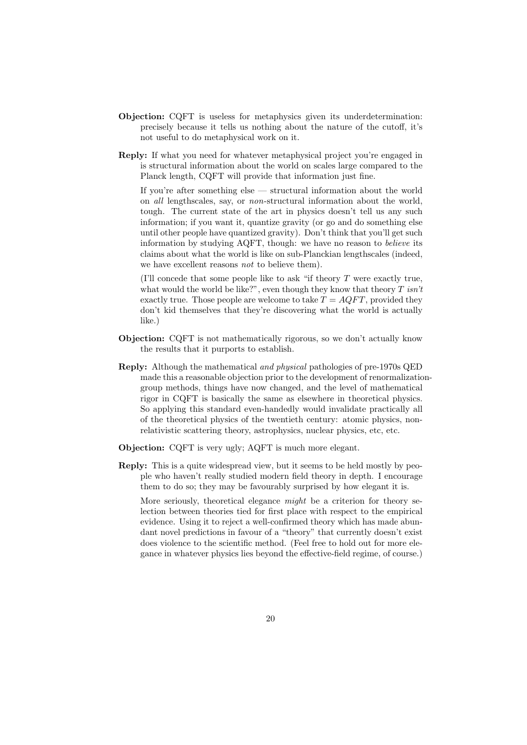- Objection: CQFT is useless for metaphysics given its underdetermination: precisely because it tells us nothing about the nature of the cutoff, it's not useful to do metaphysical work on it.
- Reply: If what you need for whatever metaphysical project you're engaged in is structural information about the world on scales large compared to the Planck length, CQFT will provide that information just fine.

If you're after something else — structural information about the world on all lengthscales, say, or non-structural information about the world, tough. The current state of the art in physics doesn't tell us any such information; if you want it, quantize gravity (or go and do something else until other people have quantized gravity). Don't think that you'll get such information by studying AQFT, though: we have no reason to believe its claims about what the world is like on sub-Planckian lengthscales (indeed, we have excellent reasons *not* to believe them).

(I'll concede that some people like to ask "if theory  $T$  were exactly true, what would the world be like?", even though they know that theory  $T$  isn't exactly true. Those people are welcome to take  $T = AQFT$ , provided they don't kid themselves that they're discovering what the world is actually like.)

- Objection: CQFT is not mathematically rigorous, so we don't actually know the results that it purports to establish.
- Reply: Although the mathematical and physical pathologies of pre-1970s QED made this a reasonable objection prior to the development of renormalizationgroup methods, things have now changed, and the level of mathematical rigor in CQFT is basically the same as elsewhere in theoretical physics. So applying this standard even-handedly would invalidate practically all of the theoretical physics of the twentieth century: atomic physics, nonrelativistic scattering theory, astrophysics, nuclear physics, etc, etc.
- Objection: CQFT is very ugly; AQFT is much more elegant.
- Reply: This is a quite widespread view, but it seems to be held mostly by people who haven't really studied modern field theory in depth. I encourage them to do so; they may be favourably surprised by how elegant it is.

More seriously, theoretical elegance *might* be a criterion for theory selection between theories tied for first place with respect to the empirical evidence. Using it to reject a well-confirmed theory which has made abundant novel predictions in favour of a "theory" that currently doesn't exist does violence to the scientific method. (Feel free to hold out for more elegance in whatever physics lies beyond the effective-field regime, of course.)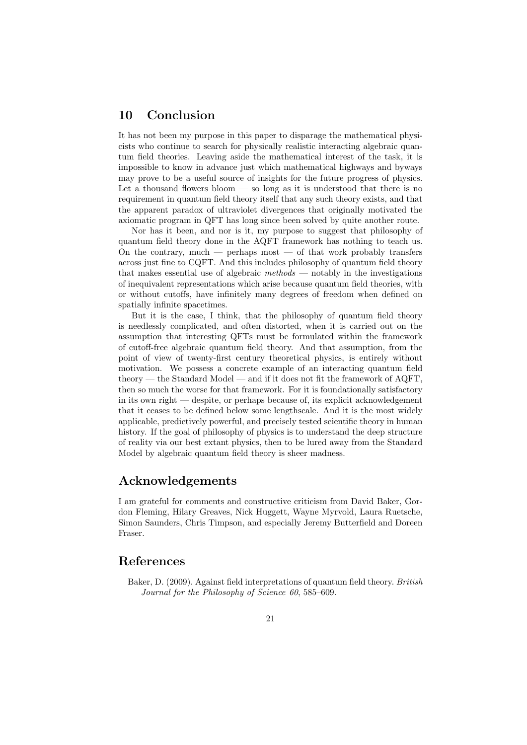### 10 Conclusion

It has not been my purpose in this paper to disparage the mathematical physicists who continue to search for physically realistic interacting algebraic quantum field theories. Leaving aside the mathematical interest of the task, it is impossible to know in advance just which mathematical highways and byways may prove to be a useful source of insights for the future progress of physics. Let a thousand flowers bloom  $-$  so long as it is understood that there is no requirement in quantum field theory itself that any such theory exists, and that the apparent paradox of ultraviolet divergences that originally motivated the axiomatic program in QFT has long since been solved by quite another route.

Nor has it been, and nor is it, my purpose to suggest that philosophy of quantum field theory done in the AQFT framework has nothing to teach us. On the contrary, much  $-$  perhaps most  $-$  of that work probably transfers across just fine to CQFT. And this includes philosophy of quantum field theory that makes essential use of algebraic  $methods$  — notably in the investigations of inequivalent representations which arise because quantum field theories, with or without cutoffs, have infinitely many degrees of freedom when defined on spatially infinite spacetimes.

But it is the case, I think, that the philosophy of quantum field theory is needlessly complicated, and often distorted, when it is carried out on the assumption that interesting QFTs must be formulated within the framework of cutoff-free algebraic quantum field theory. And that assumption, from the point of view of twenty-first century theoretical physics, is entirely without motivation. We possess a concrete example of an interacting quantum field theory — the Standard Model — and if it does not fit the framework of AQFT, then so much the worse for that framework. For it is foundationally satisfactory in its own right — despite, or perhaps because of, its explicit acknowledgement that it ceases to be defined below some lengthscale. And it is the most widely applicable, predictively powerful, and precisely tested scientific theory in human history. If the goal of philosophy of physics is to understand the deep structure of reality via our best extant physics, then to be lured away from the Standard Model by algebraic quantum field theory is sheer madness.

#### Acknowledgements

I am grateful for comments and constructive criticism from David Baker, Gordon Fleming, Hilary Greaves, Nick Huggett, Wayne Myrvold, Laura Ruetsche, Simon Saunders, Chris Timpson, and especially Jeremy Butterfield and Doreen Fraser.

#### References

Baker, D. (2009). Against field interpretations of quantum field theory. British Journal for the Philosophy of Science 60, 585–609.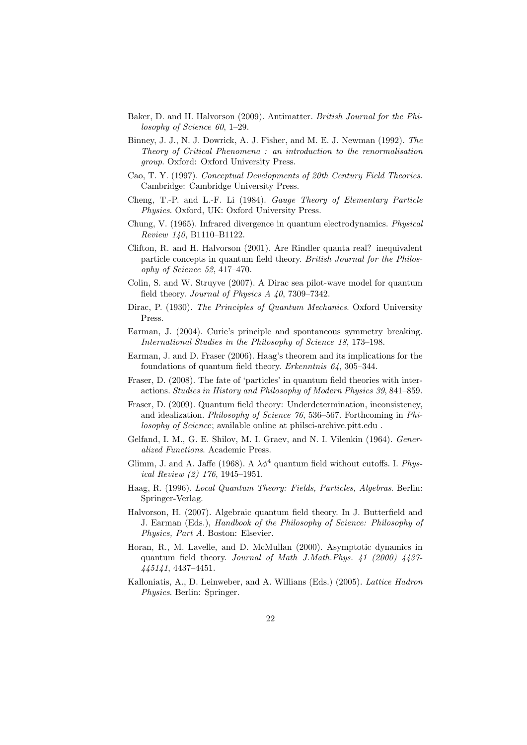- Baker, D. and H. Halvorson (2009). Antimatter. British Journal for the Philosophy of Science 60, 1–29.
- Binney, J. J., N. J. Dowrick, A. J. Fisher, and M. E. J. Newman (1992). The Theory of Critical Phenomena : an introduction to the renormalisation group. Oxford: Oxford University Press.
- Cao, T. Y. (1997). Conceptual Developments of 20th Century Field Theories. Cambridge: Cambridge University Press.
- Cheng, T.-P. and L.-F. Li (1984). Gauge Theory of Elementary Particle Physics. Oxford, UK: Oxford University Press.
- Chung, V. (1965). Infrared divergence in quantum electrodynamics. Physical Review 140, B1110–B1122.
- Clifton, R. and H. Halvorson (2001). Are Rindler quanta real? inequivalent particle concepts in quantum field theory. British Journal for the Philosophy of Science 52, 417–470.
- Colin, S. and W. Struyve (2007). A Dirac sea pilot-wave model for quantum field theory. Journal of Physics A 40, 7309–7342.
- Dirac, P. (1930). The Principles of Quantum Mechanics. Oxford University Press.
- Earman, J. (2004). Curie's principle and spontaneous symmetry breaking. International Studies in the Philosophy of Science 18, 173–198.
- Earman, J. and D. Fraser (2006). Haag's theorem and its implications for the foundations of quantum field theory. Erkenntnis 64, 305–344.
- Fraser, D. (2008). The fate of 'particles' in quantum field theories with interactions. Studies in History and Philosophy of Modern Physics 39, 841–859.
- Fraser, D. (2009). Quantum field theory: Underdetermination, inconsistency, and idealization. Philosophy of Science 76, 536–567. Forthcoming in Philosophy of Science; available online at philsci-archive.pitt.edu.
- Gelfand, I. M., G. E. Shilov, M. I. Graev, and N. I. Vilenkin (1964). Generalized Functions. Academic Press.
- Glimm, J. and A. Jaffe (1968). A  $\lambda \phi^4$  quantum field without cutoffs. I. Physical Review (2) 176, 1945–1951.
- Haag, R. (1996). Local Quantum Theory: Fields, Particles, Algebras. Berlin: Springer-Verlag.
- Halvorson, H. (2007). Algebraic quantum field theory. In J. Butterfield and J. Earman (Eds.), Handbook of the Philosophy of Science: Philosophy of Physics, Part A. Boston: Elsevier.
- Horan, R., M. Lavelle, and D. McMullan (2000). Asymptotic dynamics in quantum field theory. Journal of Math J.Math.Phys. 41 (2000) 4437- 445141, 4437–4451.
- Kalloniatis, A., D. Leinweber, and A. Willians (Eds.) (2005). Lattice Hadron Physics. Berlin: Springer.